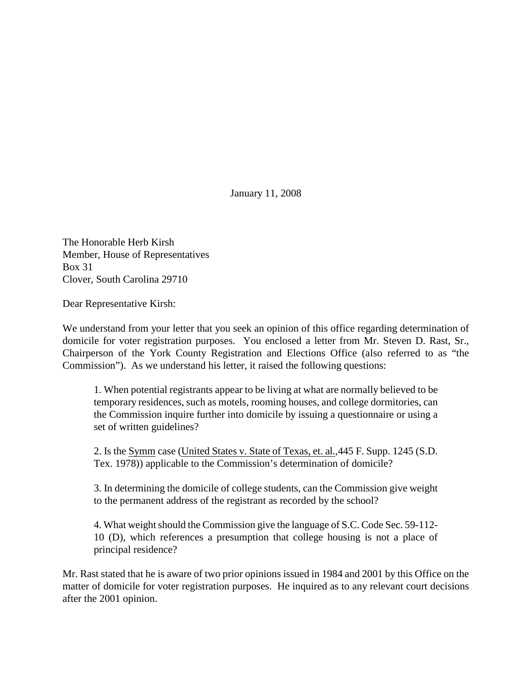January 11, 2008

The Honorable Herb Kirsh Member, House of Representatives Box 31 Clover, South Carolina 29710

Dear Representative Kirsh:

We understand from your letter that you seek an opinion of this office regarding determination of domicile for voter registration purposes. You enclosed a letter from Mr. Steven D. Rast, Sr., Chairperson of the York County Registration and Elections Office (also referred to as "the Commission"). As we understand his letter, it raised the following questions:

1. When potential registrants appear to be living at what are normally believed to be temporary residences, such as motels, rooming houses, and college dormitories, can the Commission inquire further into domicile by issuing a questionnaire or using a set of written guidelines?

2. Is the Symm case (United States v. State of Texas, et. al.,445 F. Supp. 1245 (S.D. Tex. 1978)) applicable to the Commission's determination of domicile?

3. In determining the domicile of college students, can the Commission give weight to the permanent address of the registrant as recorded by the school?

4. What weight should the Commission give the language of S.C. Code Sec. 59-112- 10 (D), which references a presumption that college housing is not a place of principal residence?

Mr. Rast stated that he is aware of two prior opinions issued in 1984 and 2001 by this Office on the matter of domicile for voter registration purposes. He inquired as to any relevant court decisions after the 2001 opinion.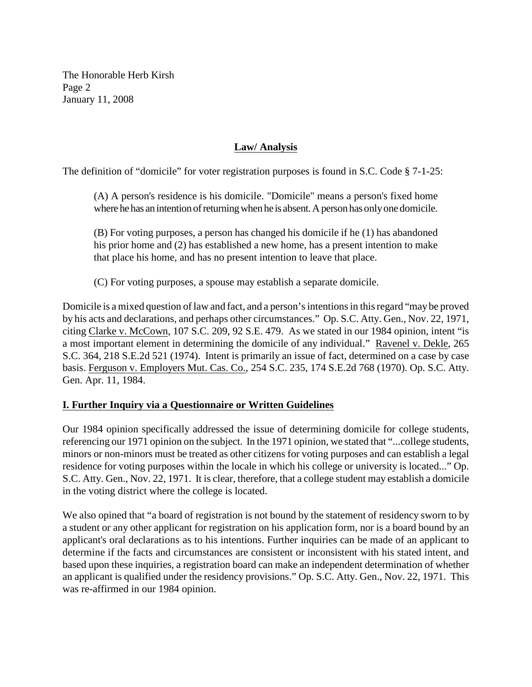The Honorable Herb Kirsh Page 2 January 11, 2008

# **Law/ Analysis**

The definition of "domicile" for voter registration purposes is found in S.C. Code § 7-1-25:

(A) A person's residence is his domicile. "Domicile" means a person's fixed home where he has an intention of returning when he is absent. A person has only one domicile.

(B) For voting purposes, a person has changed his domicile if he (1) has abandoned his prior home and (2) has established a new home, has a present intention to make that place his home, and has no present intention to leave that place.

(C) For voting purposes, a spouse may establish a separate domicile.

Domicile is a mixed question of law and fact, and a person's intentions in this regard "may be proved by his acts and declarations, and perhaps other circumstances." Op. S.C. Atty. Gen., Nov. 22, 1971, citing Clarke v. McCown, 107 S.C. 209, 92 S.E. 479. As we stated in our 1984 opinion, intent "is a most important element in determining the domicile of any individual." Ravenel v. Dekle, 265 S.C. 364, 218 S.E.2d 521 (1974). Intent is primarily an issue of fact, determined on a case by case basis. Ferguson v. Employers Mut. Cas. Co., 254 S.C. 235, 174 S.E.2d 768 (1970). Op. S.C. Atty. Gen. Apr. 11, 1984.

## **I. Further Inquiry via a Questionnaire or Written Guidelines**

Our 1984 opinion specifically addressed the issue of determining domicile for college students, referencing our 1971 opinion on the subject. In the 1971 opinion, we stated that "...college students, minors or non-minors must be treated as other citizens for voting purposes and can establish a legal residence for voting purposes within the locale in which his college or university is located..." Op. S.C. Atty. Gen., Nov. 22, 1971. It is clear, therefore, that a college student may establish a domicile in the voting district where the college is located.

We also opined that "a board of registration is not bound by the statement of residency sworn to by a student or any other applicant for registration on his application form, nor is a board bound by an applicant's oral declarations as to his intentions. Further inquiries can be made of an applicant to determine if the facts and circumstances are consistent or inconsistent with his stated intent, and based upon these inquiries, a registration board can make an independent determination of whether an applicant is qualified under the residency provisions." Op. S.C. Atty. Gen., Nov. 22, 1971. This was re-affirmed in our 1984 opinion.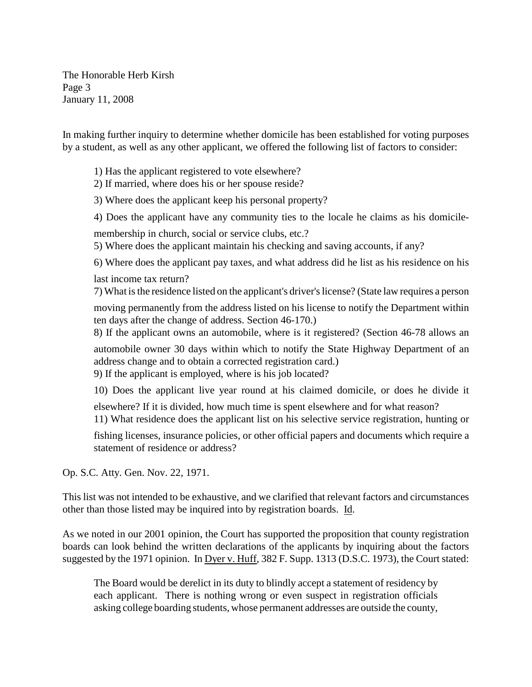The Honorable Herb Kirsh Page 3 January 11, 2008

In making further inquiry to determine whether domicile has been established for voting purposes by a student, as well as any other applicant, we offered the following list of factors to consider:

1) Has the applicant registered to vote elsewhere?

2) If married, where does his or her spouse reside?

3) Where does the applicant keep his personal property?

4) Does the applicant have any community ties to the locale he claims as his domicile-

membership in church, social or service clubs, etc.?

5) Where does the applicant maintain his checking and saving accounts, if any?

6) Where does the applicant pay taxes, and what address did he list as his residence on his last income tax return?

7) What is the residence listed on the applicant's driver's license? (State law requires a person

moving permanently from the address listed on his license to notify the Department within ten days after the change of address. Section 46-170.)

8) If the applicant owns an automobile, where is it registered? (Section 46-78 allows an

automobile owner 30 days within which to notify the State Highway Department of an address change and to obtain a corrected registration card.)

9) If the applicant is employed, where is his job located?

10) Does the applicant live year round at his claimed domicile, or does he divide it

elsewhere? If it is divided, how much time is spent elsewhere and for what reason?

11) What residence does the applicant list on his selective service registration, hunting or

fishing licenses, insurance policies, or other official papers and documents which require a statement of residence or address?

Op. S.C. Atty. Gen. Nov. 22, 1971.

This list was not intended to be exhaustive, and we clarified that relevant factors and circumstances other than those listed may be inquired into by registration boards. Id.

As we noted in our 2001 opinion, the Court has supported the proposition that county registration boards can look behind the written declarations of the applicants by inquiring about the factors suggested by the 1971 opinion. In Dyer v. Huff, 382 F. Supp. 1313 (D.S.C. 1973), the Court stated:

The Board would be derelict in its duty to blindly accept a statement of residency by each applicant. There is nothing wrong or even suspect in registration officials asking college boarding students, whose permanent addresses are outside the county,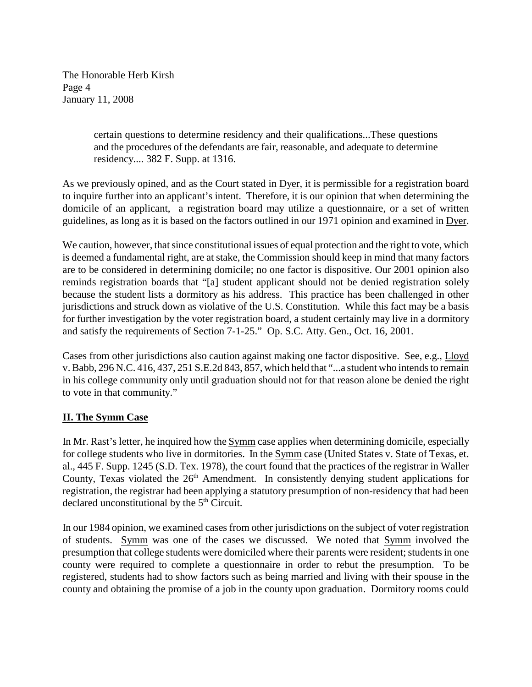The Honorable Herb Kirsh Page 4 January 11, 2008

> certain questions to determine residency and their qualifications...These questions and the procedures of the defendants are fair, reasonable, and adequate to determine residency.... 382 F. Supp. at 1316.

As we previously opined, and as the Court stated in Dyer, it is permissible for a registration board to inquire further into an applicant's intent. Therefore, it is our opinion that when determining the domicile of an applicant, a registration board may utilize a questionnaire, or a set of written guidelines, as long as it is based on the factors outlined in our 1971 opinion and examined in Dyer.

We caution, however, that since constitutional issues of equal protection and the right to vote, which is deemed a fundamental right, are at stake, the Commission should keep in mind that many factors are to be considered in determining domicile; no one factor is dispositive. Our 2001 opinion also reminds registration boards that "[a] student applicant should not be denied registration solely because the student lists a dormitory as his address. This practice has been challenged in other jurisdictions and struck down as violative of the U.S. Constitution. While this fact may be a basis for further investigation by the voter registration board, a student certainly may live in a dormitory and satisfy the requirements of Section 7-1-25." Op. S.C. Atty. Gen., Oct. 16, 2001.

Cases from other jurisdictions also caution against making one factor dispositive. See, e.g., Lloyd v. Babb, 296 N.C. 416, 437, 251 S.E.2d 843, 857, which held that "...a student who intends to remain in his college community only until graduation should not for that reason alone be denied the right to vote in that community."

## **II. The Symm Case**

In Mr. Rast's letter, he inquired how the Symm case applies when determining domicile, especially for college students who live in dormitories. In the Symm case (United States v. State of Texas, et. al., 445 F. Supp. 1245 (S.D. Tex. 1978), the court found that the practices of the registrar in Waller County, Texas violated the  $26<sup>th</sup>$  Amendment. In consistently denying student applications for registration, the registrar had been applying a statutory presumption of non-residency that had been declared unconstitutional by the  $5<sup>th</sup>$  Circuit.

In our 1984 opinion, we examined cases from other jurisdictions on the subject of voter registration of students. Symm was one of the cases we discussed. We noted that Symm involved the presumption that college students were domiciled where their parents were resident; students in one county were required to complete a questionnaire in order to rebut the presumption. To be registered, students had to show factors such as being married and living with their spouse in the county and obtaining the promise of a job in the county upon graduation. Dormitory rooms could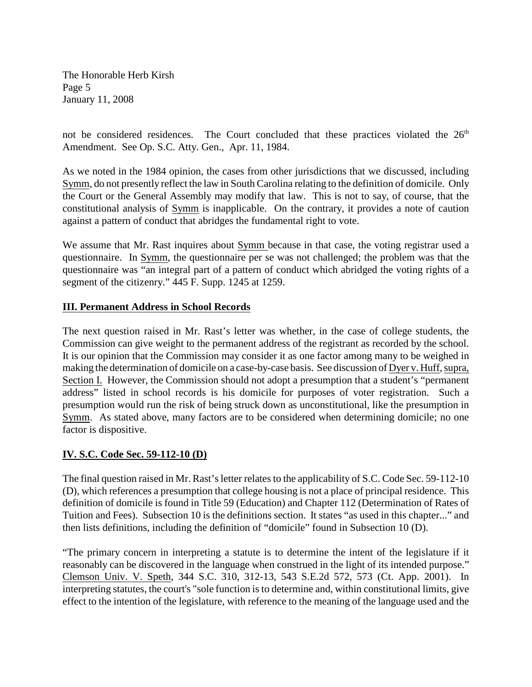The Honorable Herb Kirsh Page 5 January 11, 2008

not be considered residences. The Court concluded that these practices violated the 26<sup>th</sup> Amendment. See Op. S.C. Atty. Gen., Apr. 11, 1984.

As we noted in the 1984 opinion, the cases from other jurisdictions that we discussed, including Symm, do not presently reflect the law in South Carolina relating to the definition of domicile. Only the Court or the General Assembly may modify that law. This is not to say, of course, that the constitutional analysis of Symm is inapplicable. On the contrary, it provides a note of caution against a pattern of conduct that abridges the fundamental right to vote.

We assume that Mr. Rast inquires about Symm because in that case, the voting registrar used a questionnaire. In Symm, the questionnaire per se was not challenged; the problem was that the questionnaire was "an integral part of a pattern of conduct which abridged the voting rights of a segment of the citizenry." 445 F. Supp. 1245 at 1259.

### **III. Permanent Address in School Records**

The next question raised in Mr. Rast's letter was whether, in the case of college students, the Commission can give weight to the permanent address of the registrant as recorded by the school. It is our opinion that the Commission may consider it as one factor among many to be weighed in making the determination of domicile on a case-by-case basis. See discussion of Dyer v. Huff, supra, Section I. However, the Commission should not adopt a presumption that a student's "permanent address" listed in school records is his domicile for purposes of voter registration. Such a presumption would run the risk of being struck down as unconstitutional, like the presumption in Symm. As stated above, many factors are to be considered when determining domicile; no one factor is dispositive.

## **IV. S.C. Code Sec. 59-112-10 (D)**

The final question raised in Mr. Rast's letter relates to the applicability of S.C. Code Sec. 59-112-10 (D), which references a presumption that college housing is not a place of principal residence. This definition of domicile is found in Title 59 (Education) and Chapter 112 (Determination of Rates of Tuition and Fees). Subsection 10 is the definitions section. It states "as used in this chapter..." and then lists definitions, including the definition of "domicile" found in Subsection 10 (D).

"The primary concern in interpreting a statute is to determine the intent of the legislature if it reasonably can be discovered in the language when construed in the light of its intended purpose." Clemson Univ. V. Speth, 344 S.C. 310, 312-13, 543 S.E.2d 572, 573 (Ct. App. 2001). In interpreting statutes, the court's "sole function is to determine and, within constitutional limits, give effect to the intention of the legislature, with reference to the meaning of the language used and the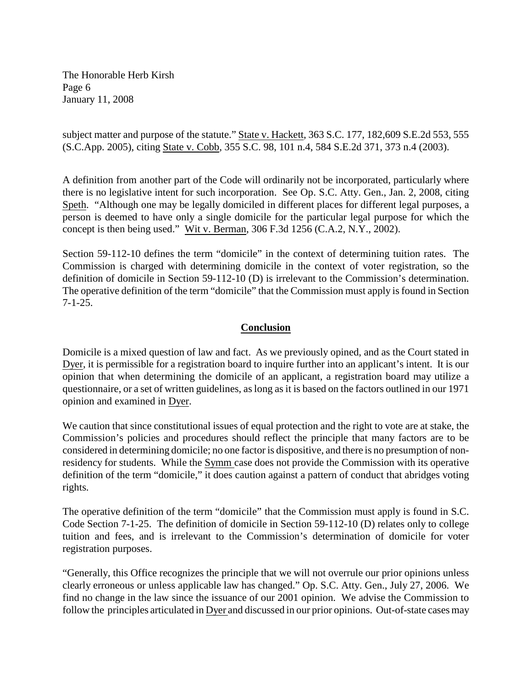The Honorable Herb Kirsh Page 6 January 11, 2008

subject matter and purpose of the statute." State v. Hackett, 363 S.C. 177, 182,609 S.E.2d 553, 555 (S.C.App. 2005), citing State v. Cobb, 355 S.C. 98, 101 n.4, 584 S.E.2d 371, 373 n.4 (2003).

A definition from another part of the Code will ordinarily not be incorporated, particularly where there is no legislative intent for such incorporation. See Op. S.C. Atty. Gen., Jan. 2, 2008, citing Speth. "Although one may be legally domiciled in different places for different legal purposes, a person is deemed to have only a single domicile for the particular legal purpose for which the concept is then being used." Wit v. Berman, 306 F.3d 1256 (C.A.2, N.Y., 2002).

Section 59-112-10 defines the term "domicile" in the context of determining tuition rates. The Commission is charged with determining domicile in the context of voter registration, so the definition of domicile in Section 59-112-10 (D) is irrelevant to the Commission's determination. The operative definition of the term "domicile" that the Commission must apply is found in Section 7-1-25.

### **Conclusion**

Domicile is a mixed question of law and fact. As we previously opined, and as the Court stated in Dyer, it is permissible for a registration board to inquire further into an applicant's intent. It is our opinion that when determining the domicile of an applicant, a registration board may utilize a questionnaire, or a set of written guidelines, as long as it is based on the factors outlined in our 1971 opinion and examined in Dyer.

We caution that since constitutional issues of equal protection and the right to vote are at stake, the Commission's policies and procedures should reflect the principle that many factors are to be considered in determining domicile; no one factor is dispositive, and there is no presumption of nonresidency for students. While the Symm case does not provide the Commission with its operative definition of the term "domicile," it does caution against a pattern of conduct that abridges voting rights.

The operative definition of the term "domicile" that the Commission must apply is found in S.C. Code Section 7-1-25. The definition of domicile in Section 59-112-10 (D) relates only to college tuition and fees, and is irrelevant to the Commission's determination of domicile for voter registration purposes.

"Generally, this Office recognizes the principle that we will not overrule our prior opinions unless clearly erroneous or unless applicable law has changed." Op. S.C. Atty. Gen., July 27, 2006. We find no change in the law since the issuance of our 2001 opinion. We advise the Commission to follow the principles articulated in Dyer and discussed in our prior opinions. Out-of-state cases may